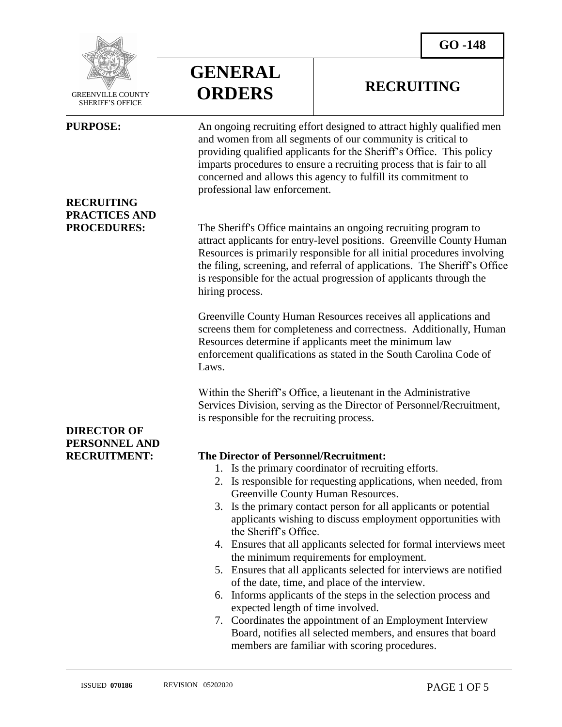**RECRUITING**



 GREENVILLE COUNTY SHERIFF'S OFFICE

 $\overline{a}$ 

## **RECRUITING PRACTICES AND**

## **DIRECTOR OF PERSONNEL AND**

# **GENERAL ORDERS**

**PURPOSE:** An ongoing recruiting effort designed to attract highly qualified men and women from all segments of our community is critical to providing qualified applicants for the Sheriff's Office. This policy imparts procedures to ensure a recruiting process that is fair to all concerned and allows this agency to fulfill its commitment to professional law enforcement.

**PROCEDURES:** The Sheriff's Office maintains an ongoing recruiting program to attract applicants for entry-level positions. Greenville County Human Resources is primarily responsible for all initial procedures involving the filing, screening, and referral of applications. The Sheriff's Office is responsible for the actual progression of applicants through the hiring process.

> Greenville County Human Resources receives all applications and screens them for completeness and correctness. Additionally, Human Resources determine if applicants meet the minimum law enforcement qualifications as stated in the South Carolina Code of Laws.

Within the Sheriff's Office, a lieutenant in the Administrative Services Division, serving as the Director of Personnel/Recruitment, is responsible for the recruiting process.

### **RECRUITMENT: The Director of Personnel/Recruitment:**

- 1. Is the primary coordinator of recruiting efforts.
- 2. Is responsible for requesting applications, when needed, from Greenville County Human Resources.
- 3. Is the primary contact person for all applicants or potential applicants wishing to discuss employment opportunities with the Sheriff's Office.
- 4. Ensures that all applicants selected for formal interviews meet the minimum requirements for employment.
- 5. Ensures that all applicants selected for interviews are notified of the date, time, and place of the interview.
- 6. Informs applicants of the steps in the selection process and expected length of time involved.
- 7. Coordinates the appointment of an Employment Interview Board, notifies all selected members, and ensures that board members are familiar with scoring procedures.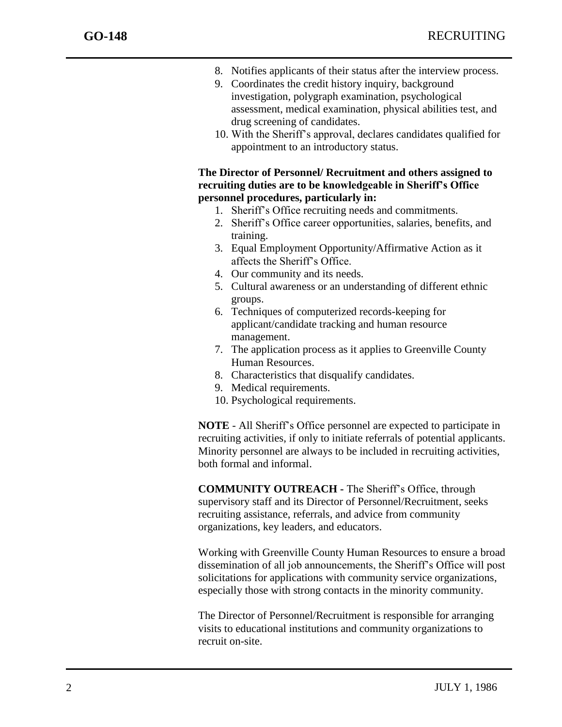- 8. Notifies applicants of their status after the interview process.
- 9. Coordinates the credit history inquiry, background investigation, polygraph examination, psychological assessment, medical examination, physical abilities test, and drug screening of candidates.
- 10. With the Sheriff's approval, declares candidates qualified for appointment to an introductory status.

### **The Director of Personnel/ Recruitment and others assigned to recruiting duties are to be knowledgeable in Sheriff's Office personnel procedures, particularly in:**

- 1. Sheriff's Office recruiting needs and commitments.
- 2. Sheriff's Office career opportunities, salaries, benefits, and training.
- 3. Equal Employment Opportunity/Affirmative Action as it affects the Sheriff's Office.
- 4. Our community and its needs.
- 5. Cultural awareness or an understanding of different ethnic groups.
- 6. Techniques of computerized records-keeping for applicant/candidate tracking and human resource management.
- 7. The application process as it applies to Greenville County Human Resources.
- 8. Characteristics that disqualify candidates.
- 9. Medical requirements.
- 10. Psychological requirements.

**NOTE** - All Sheriff's Office personnel are expected to participate in recruiting activities, if only to initiate referrals of potential applicants. Minority personnel are always to be included in recruiting activities, both formal and informal.

**COMMUNITY OUTREACH -** The Sheriff's Office, through supervisory staff and its Director of Personnel/Recruitment, seeks recruiting assistance, referrals, and advice from community organizations, key leaders, and educators.

Working with Greenville County Human Resources to ensure a broad dissemination of all job announcements, the Sheriff's Office will post solicitations for applications with community service organizations, especially those with strong contacts in the minority community.

The Director of Personnel/Recruitment is responsible for arranging visits to educational institutions and community organizations to recruit on-site.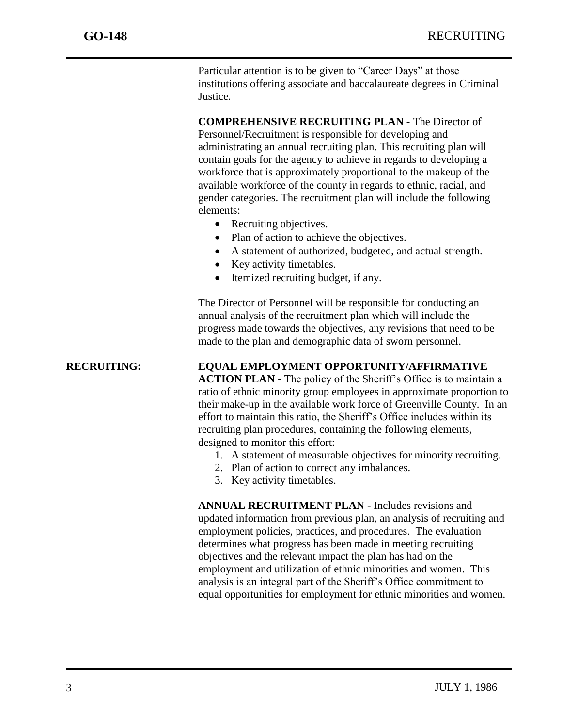Particular attention is to be given to "Career Days" at those institutions offering associate and baccalaureate degrees in Criminal Justice.

**COMPREHENSIVE RECRUITING PLAN -** The Director of Personnel/Recruitment is responsible for developing and administrating an annual recruiting plan. This recruiting plan will contain goals for the agency to achieve in regards to developing a workforce that is approximately proportional to the makeup of the available workforce of the county in regards to ethnic, racial, and gender categories. The recruitment plan will include the following elements:

- Recruiting objectives.
- Plan of action to achieve the objectives.
- A statement of authorized, budgeted, and actual strength.
- Key activity timetables.
- Itemized recruiting budget, if any.

The Director of Personnel will be responsible for conducting an annual analysis of the recruitment plan which will include the progress made towards the objectives, any revisions that need to be made to the plan and demographic data of sworn personnel.

**RECRUITING: EQUAL EMPLOYMENT OPPORTUNITY/AFFIRMATIVE** 

**ACTION PLAN -** The policy of the Sheriff's Office is to maintain a ratio of ethnic minority group employees in approximate proportion to their make-up in the available work force of Greenville County. In an effort to maintain this ratio, the Sheriff's Office includes within its recruiting plan procedures, containing the following elements, designed to monitor this effort:

- 1. A statement of measurable objectives for minority recruiting.
- 2. Plan of action to correct any imbalances.
- 3. Key activity timetables.

**ANNUAL RECRUITMENT PLAN** - Includes revisions and updated information from previous plan, an analysis of recruiting and employment policies, practices, and procedures. The evaluation determines what progress has been made in meeting recruiting objectives and the relevant impact the plan has had on the employment and utilization of ethnic minorities and women. This analysis is an integral part of the Sheriff's Office commitment to equal opportunities for employment for ethnic minorities and women.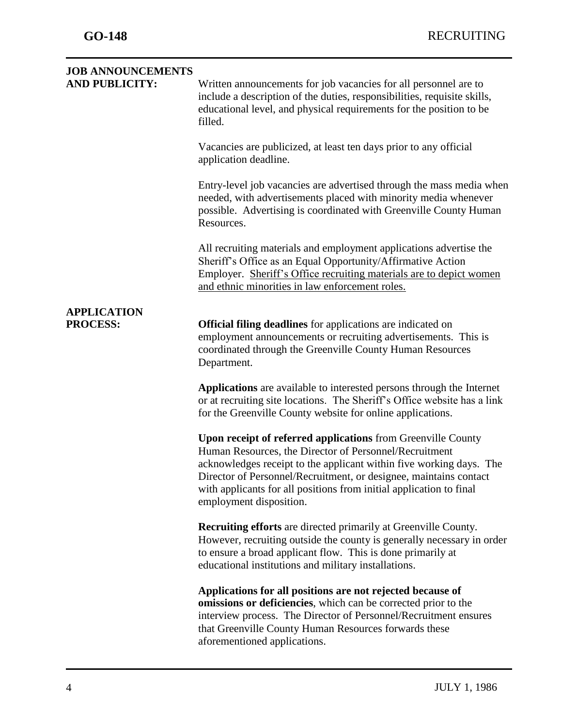| <b>JOB ANNOUNCEMENTS</b><br><b>AND PUBLICITY:</b> | Written announcements for job vacancies for all personnel are to<br>include a description of the duties, responsibilities, requisite skills,<br>educational level, and physical requirements for the position to be<br>filled.                                                                                                                                              |
|---------------------------------------------------|-----------------------------------------------------------------------------------------------------------------------------------------------------------------------------------------------------------------------------------------------------------------------------------------------------------------------------------------------------------------------------|
|                                                   | Vacancies are publicized, at least ten days prior to any official<br>application deadline.                                                                                                                                                                                                                                                                                  |
|                                                   | Entry-level job vacancies are advertised through the mass media when<br>needed, with advertisements placed with minority media whenever<br>possible. Advertising is coordinated with Greenville County Human<br>Resources.                                                                                                                                                  |
|                                                   | All recruiting materials and employment applications advertise the<br>Sheriff's Office as an Equal Opportunity/Affirmative Action<br>Employer. Sheriff's Office recruiting materials are to depict women<br>and ethnic minorities in law enforcement roles.                                                                                                                 |
| <b>APPLICATION</b><br><b>PROCESS:</b>             | <b>Official filing deadlines</b> for applications are indicated on<br>employment announcements or recruiting advertisements. This is<br>coordinated through the Greenville County Human Resources<br>Department.                                                                                                                                                            |
|                                                   | Applications are available to interested persons through the Internet<br>or at recruiting site locations. The Sheriff's Office website has a link<br>for the Greenville County website for online applications.                                                                                                                                                             |
|                                                   | <b>Upon receipt of referred applications</b> from Greenville County<br>Human Resources, the Director of Personnel/Recruitment<br>acknowledges receipt to the applicant within five working days. The<br>Director of Personnel/Recruitment, or designee, maintains contact<br>with applicants for all positions from initial application to final<br>employment disposition. |
|                                                   | <b>Recruiting efforts</b> are directed primarily at Greenville County.<br>However, recruiting outside the county is generally necessary in order<br>to ensure a broad applicant flow. This is done primarily at<br>educational institutions and military installations.                                                                                                     |
|                                                   | Applications for all positions are not rejected because of<br>omissions or deficiencies, which can be corrected prior to the<br>interview process. The Director of Personnel/Recruitment ensures<br>that Greenville County Human Resources forwards these<br>aforementioned applications.                                                                                   |